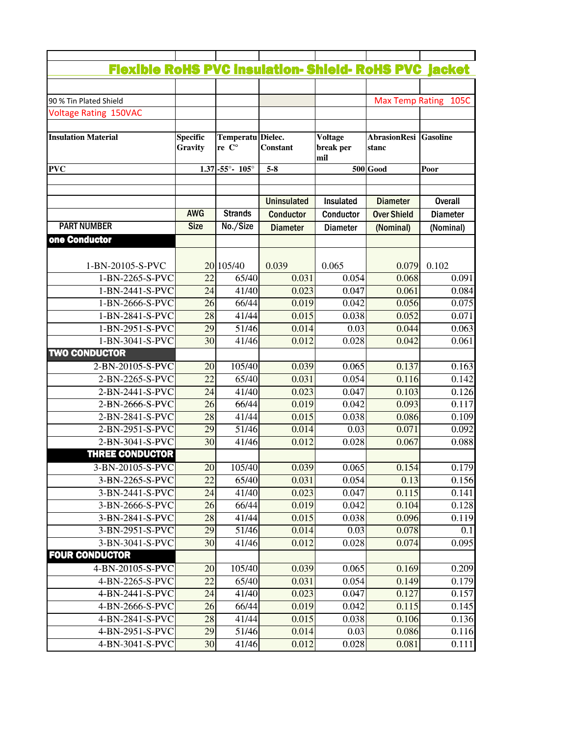| <b>Flexible RoHS PVC insulation- Shield- RoHS PVC jacket</b> |                 |                                   |                    |                  |                              |       |
|--------------------------------------------------------------|-----------------|-----------------------------------|--------------------|------------------|------------------------------|-------|
|                                                              |                 |                                   |                    |                  |                              |       |
| 90 % Tin Plated Shield                                       |                 |                                   |                    |                  | Max Temp Rating 105C         |       |
| Voltage Rating 150VAC                                        |                 |                                   |                    |                  |                              |       |
|                                                              |                 |                                   |                    |                  |                              |       |
| <b>Insulation Material</b>                                   | <b>Specific</b> | Temperatu Dielec.                 |                    | <b>Voltage</b>   | <b>AbrasionResi Gasoline</b> |       |
|                                                              | Gravity         | re C°                             | <b>Constant</b>    | break per<br>mil | stanc                        |       |
| <b>PVC</b>                                                   |                 | $1.37 - 55^{\circ} - 105^{\circ}$ | $5-8$              |                  | <b>500</b> Good              | Poor  |
|                                                              |                 |                                   |                    |                  |                              |       |
|                                                              |                 |                                   |                    |                  |                              |       |
|                                                              |                 |                                   | <b>Uninsulated</b> | Insulated        | <b>Diameter</b>              |       |
|                                                              | <b>AWG</b>      | <b>Strands</b>                    | <b>Conductor</b>   | Conductor        | <b>Over Shield</b>           |       |
| <b>PART NUMBER</b>                                           | <b>Size</b>     | No./Size                          | <b>Diameter</b>    | <b>Diameter</b>  | (Nominal)                    |       |
| one Conductor                                                |                 |                                   |                    |                  |                              |       |
|                                                              |                 |                                   |                    |                  |                              |       |
| 1-BN-20105-S-PVC                                             |                 | 20 105/40                         | 0.039              | 0.065            | 0.079                        | 0.102 |
| 1-BN-2265-S-PVC                                              | 22              | 65/40                             | 0.031              | 0.054            | 0.068                        |       |
| 1-BN-2441-S-PVC                                              | 24              | 41/40                             | 0.023              | 0.047            | 0.061                        |       |
| 1-BN-2666-S-PVC                                              | 26              | 66/44                             | 0.019              | 0.042            | 0.056                        |       |
| 1-BN-2841-S-PVC                                              | 28              | 41/44                             | 0.015              | 0.038            | 0.052                        |       |
| 1-BN-2951-S-PVC                                              | 29              | 51/46                             | 0.014              | 0.03             | 0.044                        |       |
| 1-BN-3041-S-PVC<br><b>TWO CONDUCTOR</b>                      | 30              | 41/46                             | 0.012              | 0.028            | 0.042                        |       |
| 2-BN-20105-S-PVC                                             | 20              | 105/40                            | 0.039              | 0.065            | 0.137                        |       |
| 2-BN-2265-S-PVC                                              | 22              | 65/40                             | 0.031              | 0.054            | 0.116                        |       |
| 2-BN-2441-S-PVC                                              | 24              | 41/40                             | 0.023              | 0.047            | 0.103                        |       |
| 2-BN-2666-S-PVC                                              | 26              | 66/44                             | 0.019              | 0.042            | 0.093                        |       |
| 2-BN-2841-S-PVC                                              | 28              | 41/44                             | 0.015              | 0.038            | 0.086                        |       |
| 2-BN-2951-S-PVC                                              | 29              | 51/46                             | 0.014              | 0.03             | 0.071                        |       |
| 2-BN-3041-S-PVC                                              | 30              | 41/46                             | 0.012              | 0.028            | 0.067                        |       |
| <b>THREE CONDUCTOR</b>                                       |                 |                                   |                    |                  |                              |       |
| 3-BN-20105-S-PVC                                             | 20              | 105/40                            | 0.039              | 0.065            | 0.154                        |       |
| 3-BN-2265-S-PVC                                              | 22              | 65/40                             | 0.031              | 0.054            | 0.13                         |       |
| 3-BN-2441-S-PVC                                              | 24              | 41/40                             | 0.023              | 0.047            | 0.115                        |       |
| 3-BN-2666-S-PVC                                              | 26              | 66/44                             | 0.019              | 0.042            | 0.104                        |       |
| 3-BN-2841-S-PVC                                              | 28              | 41/44                             | 0.015              | 0.038            | 0.096                        |       |
| 3-BN-2951-S-PVC                                              | 29              | 51/46                             | 0.014              | 0.03             | 0.078                        |       |
| 3-BN-3041-S-PVC                                              | 30              | 41/46                             | 0.012              | 0.028            | 0.074                        |       |
| <b>FOUR CONDUCTOR</b>                                        |                 |                                   |                    |                  |                              |       |
| 4-BN-20105-S-PVC                                             | 20              | 105/40                            | 0.039              | 0.065            | 0.169                        |       |
| 4-BN-2265-S-PVC                                              | $\overline{22}$ | 65/40                             | 0.031              | 0.054            | 0.149                        |       |
| 4-BN-2441-S-PVC                                              | 24              | 41/40                             | 0.023              | 0.047            | 0.127                        |       |
| 4-BN-2666-S-PVC                                              | 26              | 66/44                             | 0.019              | 0.042            | 0.115                        |       |
| 4-BN-2841-S-PVC                                              | 28              | 41/44                             | 0.015              | 0.038            | 0.106                        |       |
| 4-BN-2951-S-PVC                                              | 29              | 51/46                             | 0.014              | 0.03             | 0.086                        |       |
| 4-BN-3041-S-PVC                                              | 30              | 41/46                             | 0.012              | 0.028            | 0.081                        |       |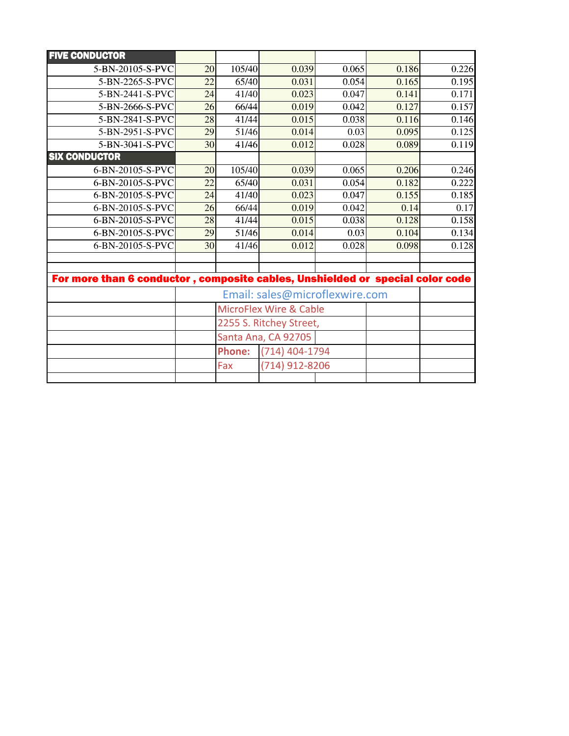| <b>FIVE CONDUCTOR</b>                                                         |                                   |                                 |                |       |       |       |
|-------------------------------------------------------------------------------|-----------------------------------|---------------------------------|----------------|-------|-------|-------|
| 5-BN-20105-S-PVC                                                              | 20                                | 105/40                          | 0.039          | 0.065 | 0.186 | 0.226 |
| 5-BN-2265-S-PVC                                                               | 22                                | 65/40                           | 0.031          | 0.054 | 0.165 | 0.195 |
| 5-BN-2441-S-PVC                                                               | 24                                | 41/40                           | 0.023          | 0.047 | 0.141 | 0.171 |
| 5-BN-2666-S-PVC                                                               | 26                                | 66/44                           | 0.019          | 0.042 | 0.127 | 0.157 |
| 5-BN-2841-S-PVC                                                               | 28                                | 41/44                           | 0.015          | 0.038 | 0.116 | 0.146 |
| 5-BN-2951-S-PVC                                                               | 29                                | 51/46                           | 0.014          | 0.03  | 0.095 | 0.125 |
| 5-BN-3041-S-PVC                                                               | 30                                | 41/46                           | 0.012          | 0.028 | 0.089 | 0.119 |
| <b>SIX CONDUCTOR</b>                                                          |                                   |                                 |                |       |       |       |
| 6-BN-20105-S-PVC                                                              | 20                                | 105/40                          | 0.039          | 0.065 | 0.206 | 0.246 |
| 6-BN-20105-S-PVC                                                              | 22                                | 65/40                           | 0.031          | 0.054 | 0.182 | 0.222 |
| 6-BN-20105-S-PVC                                                              | 24                                | 41/40                           | 0.023          | 0.047 | 0.155 | 0.185 |
| 6-BN-20105-S-PVC                                                              | 26                                | 66/44                           | 0.019          | 0.042 | 0.14  | 0.17  |
| 6-BN-20105-S-PVC                                                              | 28                                | 41/44                           | 0.015          | 0.038 | 0.128 | 0.158 |
| 6-BN-20105-S-PVC                                                              | 29                                | 51/46                           | 0.014          | 0.03  | 0.104 | 0.134 |
| 6-BN-20105-S-PVC                                                              | 30                                | 41/46                           | 0.012          | 0.028 | 0.098 | 0.128 |
|                                                                               |                                   |                                 |                |       |       |       |
|                                                                               |                                   |                                 |                |       |       |       |
| For more than 6 conductor, composite cables, Unshielded or special color code |                                   |                                 |                |       |       |       |
|                                                                               | Email: sales@microflexwire.com    |                                 |                |       |       |       |
|                                                                               | <b>MicroFlex Wire &amp; Cable</b> |                                 |                |       |       |       |
|                                                                               |                                   | 2255 S. Ritchey Street,         |                |       |       |       |
|                                                                               |                                   | Santa Ana, CA 92705             |                |       |       |       |
|                                                                               |                                   | (714) 404-1794<br><b>Phone:</b> |                |       |       |       |
|                                                                               |                                   | Fax                             | (714) 912-8206 |       |       |       |
|                                                                               |                                   |                                 |                |       |       |       |
|                                                                               |                                   |                                 |                |       |       |       |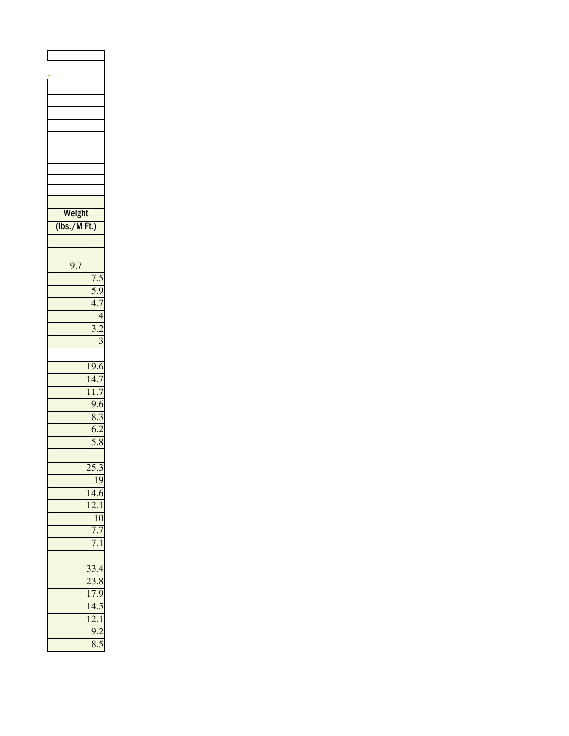| Weight      |                                           |
|-------------|-------------------------------------------|
| (lbs./MFt.) |                                           |
|             |                                           |
|             |                                           |
| 9.7         |                                           |
|             |                                           |
|             | $\frac{7.5}{5.9}$                         |
|             |                                           |
|             |                                           |
|             | 4                                         |
|             | $\frac{3.2}{3}$                           |
|             |                                           |
|             |                                           |
|             | $\frac{1}{9.6}$                           |
|             | 14.7                                      |
|             | $\frac{11.7}{9.6}$                        |
|             |                                           |
|             | 8.3                                       |
|             | $\overline{6.2}$                          |
|             | $\overline{5.8}$                          |
|             |                                           |
|             | $\overline{25.3}$                         |
|             | 19                                        |
|             | 14.6                                      |
|             | $\overline{\mathbf{C}}$<br>$\overline{1}$ |
|             | 10                                        |
|             |                                           |
|             |                                           |
|             |                                           |
|             | 33.4                                      |
|             | $\frac{23.8}{2}$                          |
|             | 17.9                                      |
|             | $14.\overline{5}$                         |
|             | 12.1                                      |
|             | $\overline{9.2}$                          |
|             | 8.5                                       |
|             |                                           |